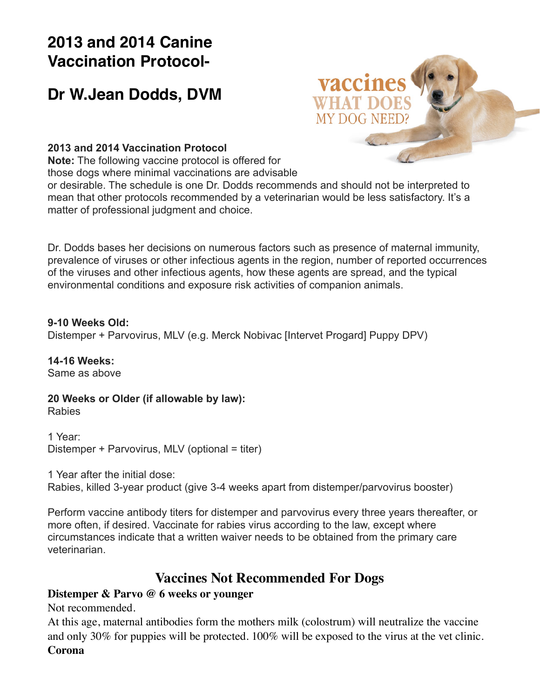# **2013 and 2014 Canine Vaccination Protocol-**

# **Dr W.Jean Dodds, DVM**



#### **[2013 and 2014 Vaccination Protocol](http://drjeandoddspethealthresource.tumblr.com/post/66693331640/dodds-dog-vaccination-protocol-2013-2014)**

**Note:** [The following vaccine protocol is offered for](http://drjeandoddspethealthresource.tumblr.com/post/66693331640/dodds-dog-vaccination-protocol-2013-2014)  [those dogs where minimal vaccinations are advisable](http://drjeandoddspethealthresource.tumblr.com/post/66693331640/dodds-dog-vaccination-protocol-2013-2014) 

[or desirable. The schedule is one Dr. Dodds recommends and should not be interpreted to](http://drjeandoddspethealthresource.tumblr.com/post/66693331640/dodds-dog-vaccination-protocol-2013-2014)  [mean that other protocols recommended by a veterinarian would be less satisfactory. It's a](http://drjeandoddspethealthresource.tumblr.com/post/66693331640/dodds-dog-vaccination-protocol-2013-2014)  [matter of professional judgment and choice.](http://drjeandoddspethealthresource.tumblr.com/post/66693331640/dodds-dog-vaccination-protocol-2013-2014)

[Dr. Dodds bases her decisions on numerous factors such as presence of maternal immunity,](http://drjeandoddspethealthresource.tumblr.com/post/66693331640/dodds-dog-vaccination-protocol-2013-2014)  [prevalence of viruses or other infectious agents in the region, number of reported occurrences](http://drjeandoddspethealthresource.tumblr.com/post/66693331640/dodds-dog-vaccination-protocol-2013-2014)  [of the viruses and other infectious agents, how these agents are spread, and the typical](http://drjeandoddspethealthresource.tumblr.com/post/66693331640/dodds-dog-vaccination-protocol-2013-2014)  [environmental conditions and exposure risk activities of companion animals.](http://drjeandoddspethealthresource.tumblr.com/post/66693331640/dodds-dog-vaccination-protocol-2013-2014)

#### **[9-10 Weeks Old:](http://drjeandoddspethealthresource.tumblr.com/post/66693331640/dodds-dog-vaccination-protocol-2013-2014)**

[Distemper + Parvovirus, MLV \(e.g. Merck Nobivac \[Intervet Progard\] Puppy DPV\)](http://drjeandoddspethealthresource.tumblr.com/post/66693331640/dodds-dog-vaccination-protocol-2013-2014)

**[14-16 Weeks:](http://drjeandoddspethealthresource.tumblr.com/post/66693331640/dodds-dog-vaccination-protocol-2013-2014)** [Same as above](http://drjeandoddspethealthresource.tumblr.com/post/66693331640/dodds-dog-vaccination-protocol-2013-2014)

**[20 Weeks or Older \(if allowable by law\):](http://drjeandoddspethealthresource.tumblr.com/post/66693331640/dodds-dog-vaccination-protocol-2013-2014)** [Rabies](http://drjeandoddspethealthresource.tumblr.com/post/66693331640/dodds-dog-vaccination-protocol-2013-2014)

[1 Year:](http://drjeandoddspethealthresource.tumblr.com/post/66693331640/dodds-dog-vaccination-protocol-2013-2014) [Distemper + Parvovirus, MLV \(optional = titer\)](http://drjeandoddspethealthresource.tumblr.com/post/66693331640/dodds-dog-vaccination-protocol-2013-2014)

[1 Year after the initial dose:](http://drjeandoddspethealthresource.tumblr.com/post/66693331640/dodds-dog-vaccination-protocol-2013-2014) [Rabies, killed 3-year product \(give 3-4 weeks apart from distemper/parvovirus booster\)](http://drjeandoddspethealthresource.tumblr.com/post/66693331640/dodds-dog-vaccination-protocol-2013-2014)

[Perform vaccine antibody titers for distemper and parvovirus every three years thereafter, or](http://drjeandoddspethealthresource.tumblr.com/post/66693331640/dodds-dog-vaccination-protocol-2013-2014)  [more often, if desired. Vaccinate for rabies virus according to the law, except where](http://drjeandoddspethealthresource.tumblr.com/post/66693331640/dodds-dog-vaccination-protocol-2013-2014)  [circumstances indicate that a written waiver needs to be obtained from the primary care](http://drjeandoddspethealthresource.tumblr.com/post/66693331640/dodds-dog-vaccination-protocol-2013-2014)  [veterinarian.](http://drjeandoddspethealthresource.tumblr.com/post/66693331640/dodds-dog-vaccination-protocol-2013-2014)

### **[Vaccines Not Recommended For Dogs](http://drjeandoddspethealthresource.tumblr.com/post/66693331640/dodds-dog-vaccination-protocol-2013-2014)**

### **[Distemper & Parvo @ 6 weeks or younger](http://drjeandoddspethealthresource.tumblr.com/post/66693331640/dodds-dog-vaccination-protocol-2013-2014)**

[Not recommended.](http://drjeandoddspethealthresource.tumblr.com/post/66693331640/dodds-dog-vaccination-protocol-2013-2014)

[At this age, maternal antibodies form the mothers milk \(colostrum\) will neutralize the vaccine](http://drjeandoddspethealthresource.tumblr.com/post/66693331640/dodds-dog-vaccination-protocol-2013-2014)  [and only 30% for puppies will be protected. 100% will be exposed to the virus at the vet clinic.](http://drjeandoddspethealthresource.tumblr.com/post/66693331640/dodds-dog-vaccination-protocol-2013-2014) **[Corona](http://drjeandoddspethealthresource.tumblr.com/post/66693331640/dodds-dog-vaccination-protocol-2013-2014)**